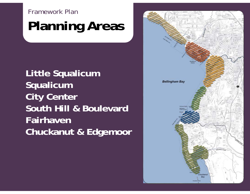Framework Plan

## **Planning Areas**

**Little Squalicum Squalicum City Center South Hill & Boulevard FairhavenChuckanut & Edgemoor**

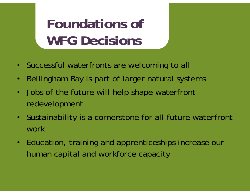## **Foundations of WFG Decisions**

- Successful waterfronts are welcoming to all
- $\bullet$ Bellingham Bay is part of larger natural systems
- Jobs of the future will help shape waterfront redevelopment
- Sustainability is a cornerstone for all future waterfront work
- Education, training and apprenticeships increase our human capital and workforce capacity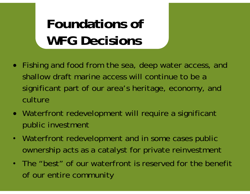## **Foundations of WFG Decisions**

- Fishing and food from the sea, deep water access, and shallow draft marine access will continue to be a significant part of our area's heritage, economy, and culture
- Waterfront redevelopment will require a significant public investment
- $\bullet$  Waterfront redevelopment and in some cases public ownership acts as a catalyst for private reinvestment
- •The "best" of our waterfront is reserved for the benefit of our entire community